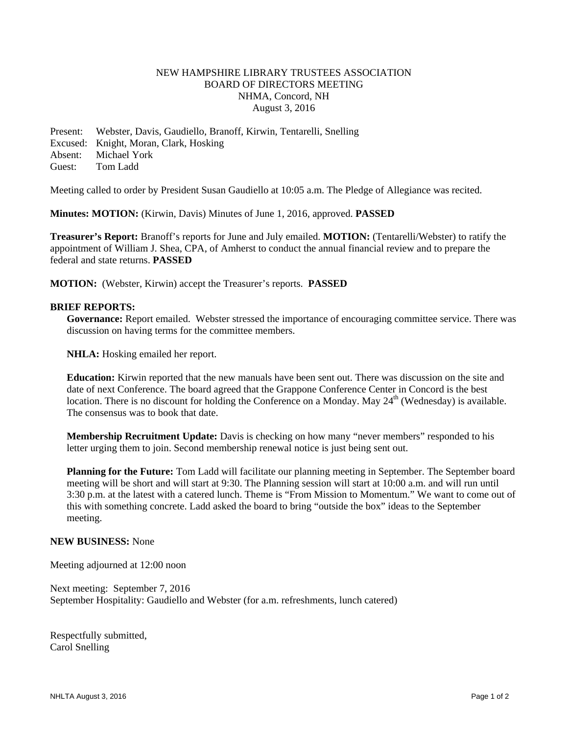## NEW HAMPSHIRE LIBRARY TRUSTEES ASSOCIATION BOARD OF DIRECTORS MEETING NHMA, Concord, NH August 3, 2016

Present: Webster, Davis, Gaudiello, Branoff, Kirwin, Tentarelli, Snelling Excused: Knight, Moran, Clark, Hosking Absent: Michael York Guest: Tom Ladd

Meeting called to order by President Susan Gaudiello at 10:05 a.m. The Pledge of Allegiance was recited.

**Minutes: MOTION:** (Kirwin, Davis) Minutes of June 1, 2016, approved. **PASSED**

**Treasurer's Report:** Branoff's reports for June and July emailed. **MOTION:** (Tentarelli/Webster) to ratify the appointment of William J. Shea, CPA, of Amherst to conduct the annual financial review and to prepare the federal and state returns. **PASSED** 

**MOTION:** (Webster, Kirwin) accept the Treasurer's reports. **PASSED**

#### **BRIEF REPORTS:**

**Governance:** Report emailed. Webster stressed the importance of encouraging committee service. There was discussion on having terms for the committee members.

**NHLA:** Hosking emailed her report.

**Education:** Kirwin reported that the new manuals have been sent out. There was discussion on the site and date of next Conference. The board agreed that the Grappone Conference Center in Concord is the best location. There is no discount for holding the Conference on a Monday. May 24<sup>th</sup> (Wednesday) is available. The consensus was to book that date.

**Membership Recruitment Update:** Davis is checking on how many "never members" responded to his letter urging them to join. Second membership renewal notice is just being sent out.

**Planning for the Future:** Tom Ladd will facilitate our planning meeting in September. The September board meeting will be short and will start at 9:30. The Planning session will start at 10:00 a.m. and will run until 3:30 p.m. at the latest with a catered lunch. Theme is "From Mission to Momentum." We want to come out of this with something concrete. Ladd asked the board to bring "outside the box" ideas to the September meeting.

#### **NEW BUSINESS:** None

Meeting adjourned at 12:00 noon

Next meeting: September 7, 2016 September Hospitality: Gaudiello and Webster (for a.m. refreshments, lunch catered)

Respectfully submitted, Carol Snelling